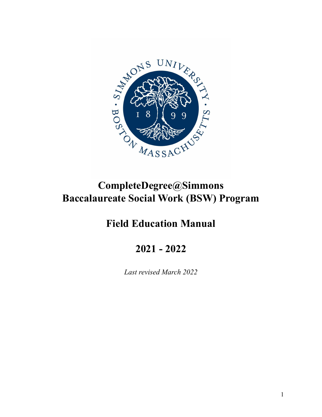

# **Baccalaureate Social Work (BSW) Program**

# **Field Education Manual**

# **2021 - 2022**

 *Last revised March 2022*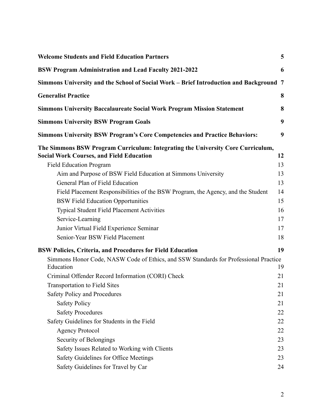| <b>Welcome Students and Field Education Partners</b>                                            | 5        |
|-------------------------------------------------------------------------------------------------|----------|
| <b>BSW Program Administration and Lead Faculty 2021-2022</b>                                    | 6        |
| Simmons University and the School of Social Work – Brief Introduction and Background 7          |          |
| <b>Generalist Practice</b>                                                                      | 8        |
| <b>Simmons University Baccalaureate Social Work Program Mission Statement</b>                   | 8        |
| <b>Simmons University BSW Program Goals</b>                                                     | 9        |
| <b>Simmons University BSW Program's Core Competencies and Practice Behaviors:</b>               | 9        |
| The Simmons BSW Program Curriculum: Integrating the University Core Curriculum,                 |          |
| <b>Social Work Courses, and Field Education</b>                                                 | 12       |
| <b>Field Education Program</b>                                                                  | 13       |
| Aim and Purpose of BSW Field Education at Simmons University<br>General Plan of Field Education | 13<br>13 |
| Field Placement Responsibilities of the BSW Program, the Agency, and the Student                | 14       |
| <b>BSW Field Education Opportunities</b>                                                        | 15       |
| <b>Typical Student Field Placement Activities</b>                                               | 16       |
| Service-Learning                                                                                | 17       |
| Junior Virtual Field Experience Seminar                                                         | 17       |
| Senior-Year BSW Field Placement                                                                 | 18       |
| <b>BSW Policies, Criteria, and Procedures for Field Education</b>                               | 19       |
| Simmons Honor Code, NASW Code of Ethics, and SSW Standards for Professional Practice            |          |
| Education                                                                                       | 19       |
| Criminal Offender Record Information (CORI) Check                                               | 21       |
| <b>Transportation to Field Sites</b>                                                            | 21       |
| Safety Policy and Procedures                                                                    | 21       |
| <b>Safety Policy</b>                                                                            | 21       |
| <b>Safety Procedures</b>                                                                        | 22       |
| Safety Guidelines for Students in the Field                                                     | 22       |
| <b>Agency Protocol</b>                                                                          | 22       |
| Security of Belongings                                                                          | 23       |
| Safety Issues Related to Working with Clients                                                   | 23       |
| Safety Guidelines for Office Meetings                                                           | 23       |
| Safety Guidelines for Travel by Car                                                             | 24       |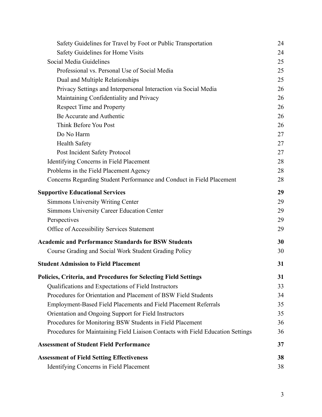| Safety Guidelines for Travel by Foot or Public Transportation                   | 24 |
|---------------------------------------------------------------------------------|----|
| Safety Guidelines for Home Visits                                               | 24 |
| Social Media Guidelines                                                         | 25 |
| Professional vs. Personal Use of Social Media                                   | 25 |
| Dual and Multiple Relationships                                                 | 25 |
| Privacy Settings and Interpersonal Interaction via Social Media                 | 26 |
| Maintaining Confidentiality and Privacy                                         | 26 |
| <b>Respect Time and Property</b>                                                | 26 |
| Be Accurate and Authentic                                                       | 26 |
| Think Before You Post                                                           | 26 |
| Do No Harm                                                                      | 27 |
| <b>Health Safety</b>                                                            | 27 |
| Post Incident Safety Protocol                                                   | 27 |
| Identifying Concerns in Field Placement                                         | 28 |
| Problems in the Field Placement Agency                                          | 28 |
| Concerns Regarding Student Performance and Conduct in Field Placement           | 28 |
| <b>Supportive Educational Services</b>                                          | 29 |
| <b>Simmons University Writing Center</b>                                        | 29 |
| <b>Simmons University Career Education Center</b>                               | 29 |
| Perspectives                                                                    | 29 |
| Office of Accessibility Services Statement                                      | 29 |
| <b>Academic and Performance Standards for BSW Students</b>                      | 30 |
| Course Grading and Social Work Student Grading Policy                           | 30 |
| <b>Student Admission to Field Placement</b>                                     | 31 |
| Policies, Criteria, and Procedures for Selecting Field Settings                 | 31 |
| Qualifications and Expectations of Field Instructors                            | 33 |
| Procedures for Orientation and Placement of BSW Field Students                  | 34 |
| Employment-Based Field Placements and Field Placement Referrals                 | 35 |
| Orientation and Ongoing Support for Field Instructors                           | 35 |
| Procedures for Monitoring BSW Students in Field Placement                       | 36 |
| Procedures for Maintaining Field Liaison Contacts with Field Education Settings | 36 |
| <b>Assessment of Student Field Performance</b>                                  | 37 |
| <b>Assessment of Field Setting Effectiveness</b>                                | 38 |
| Identifying Concerns in Field Placement                                         | 38 |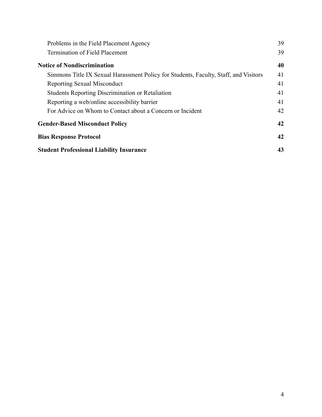| Problems in the Field Placement Agency                                               | 39 |
|--------------------------------------------------------------------------------------|----|
| Termination of Field Placement                                                       | 39 |
| <b>Notice of Nondiscrimination</b>                                                   | 40 |
| Simmons Title IX Sexual Harassment Policy for Students, Faculty, Staff, and Visitors | 41 |
| <b>Reporting Sexual Misconduct</b>                                                   | 41 |
| <b>Students Reporting Discrimination or Retaliation</b>                              | 41 |
| Reporting a web/online accessibility barrier                                         | 41 |
| For Advice on Whom to Contact about a Concern or Incident                            | 42 |
| <b>Gender-Based Misconduct Policy</b>                                                | 42 |
| <b>Bias Response Protocol</b>                                                        | 42 |
| <b>Student Professional Liability Insurance</b>                                      | 43 |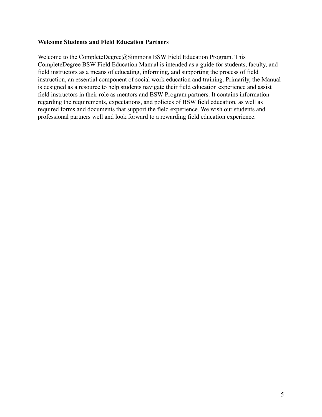#### <span id="page-4-0"></span>**Welcome Students and Field Education Partners**

Welcome to the CompleteDegree@Simmons BSW Field Education Program. This CompleteDegree BSW Field Education Manual is intended as a guide for students, faculty, and field instructors as a means of educating, informing, and supporting the process of field instruction, an essential component of social work education and training. Primarily, the Manual is designed as a resource to help students navigate their field education experience and assist field instructors in their role as mentors and BSW Program partners. It contains information regarding the requirements, expectations, and policies of BSW field education, as well as required forms and documents that support the field experience. We wish our students and professional partners well and look forward to a rewarding field education experience.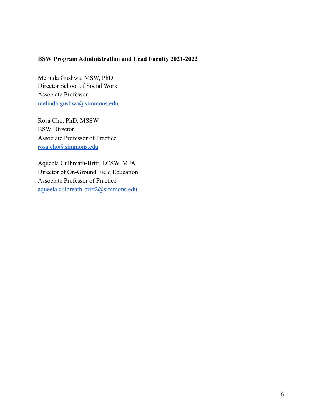# <span id="page-5-0"></span>**BSW Program Administration and Lead Faculty 2021-2022**

Melinda Gushwa, MSW, PhD Director School of Social Work Associate Professor [melinda.gushwa@simmons.edu](mailto:melinda.gushwa@simmons.edu)

Rosa Cho, PhD, MSSW BSW Director Associate Professor of Practice [rosa.cho@simmons.edu](mailto:rosa.cho@simmons.edu)

Aqueela Culbreath-Britt, LCSW, MFA Director of On-Ground Field Education Associate Professor of Practice [aqueela.culbreath-britt2@simmons.edu](mailto:aqueela.culbreath-britt2@simmons.edu)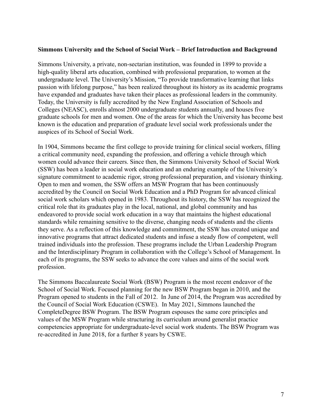#### <span id="page-6-0"></span>**Simmons University and the School of Social Work – Brief Introduction and Background**

Simmons University, a private, non-sectarian institution, was founded in 1899 to provide a high-quality liberal arts education, combined with professional preparation, to women at the undergraduate level. The University's Mission, "To provide transformative learning that links passion with lifelong purpose," has been realized throughout its history as its academic programs have expanded and graduates have taken their places as professional leaders in the community. Today, the University is fully accredited by the New England Association of Schools and Colleges (NEASC), enrolls almost 2000 undergraduate students annually, and houses five graduate schools for men and women. One of the areas for which the University has become best known is the education and preparation of graduate level social work professionals under the auspices of its School of Social Work.

In 1904, Simmons became the first college to provide training for clinical social workers, filling a critical community need, expanding the profession, and offering a vehicle through which women could advance their careers. Since then, the Simmons University School of Social Work (SSW) has been a leader in social work education and an enduring example of the University's signature commitment to academic rigor, strong professional preparation, and visionary thinking. Open to men and women, the SSW offers an MSW Program that has been continuously accredited by the Council on Social Work Education and a PhD Program for advanced clinical social work scholars which opened in 1983. Throughout its history, the SSW has recognized the critical role that its graduates play in the local, national, and global community and has endeavored to provide social work education in a way that maintains the highest educational standards while remaining sensitive to the diverse, changing needs of students and the clients they serve. As a reflection of this knowledge and commitment, the SSW has created unique and innovative programs that attract dedicated students and infuse a steady flow of competent, well trained individuals into the profession. These programs include the Urban Leadership Program and the Interdisciplinary Program in collaboration with the College's School of Management. In each of its programs, the SSW seeks to advance the core values and aims of the social work profession.

The Simmons Baccalaureate Social Work (BSW) Program is the most recent endeavor of the School of Social Work. Focused planning for the new BSW Program began in 2010, and the Program opened to students in the Fall of 2012. In June of 2014, the Program was accredited by the Council of Social Work Education (CSWE). In May 2021, Simmons launched the CompleteDegree BSW Program. The BSW Program espouses the same core principles and values of the MSW Program while structuring its curriculum around generalist practice competencies appropriate for undergraduate-level social work students. The BSW Program was re-accredited in June 2018, for a further 8 years by CSWE.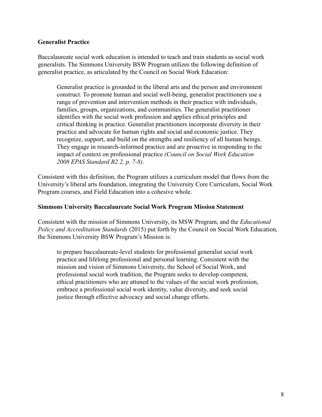#### <span id="page-7-0"></span>**Generalist Practice**

Baccalaureate social work education is intended to teach and train students as social work generalists. The Simmons University BSW Program utilizes the following definition of generalist practice, as articulated by the Council on Social Work Education:

Generalist practice is grounded in the liberal arts and the person and environment construct. To promote human and social well-being, generalist practitioners use a range of prevention and intervention methods in their practice with individuals, families, groups, organizations, and communities. The generalist practitioner identifies with the social work profession and applies ethical principles and critical thinking in practice. Generalist practitioners incorporate diversity in their practice and advocate for human rights and social and economic justice. They recognize, support, and build on the strengths and resiliency of all human beings. They engage in research-informed practice and are proactive in responding to the impact of context on professional practice *(Council on Social Work Education 2008 EPAS Standard B2.2, p. 7-8).*

Consistent with this definition, the Program utilizes a curriculum model that flows from the University's liberal arts foundation, integrating the University Core Curriculum, Social Work Program courses, and Field Education into a cohesive whole.

#### <span id="page-7-1"></span>**Simmons University Baccalaureate Social Work Program Mission Statement**

Consistent with the mission of Simmons University, its MSW Program, and the *Educational Policy and Accreditation Standards* (2015) put forth by the Council on Social Work Education, the Simmons University BSW Program's Mission is:

to prepare baccalaureate-level students for professional generalist social work practice and lifelong professional and personal learning. Consistent with the mission and vision of Simmons University, the School of Social Work, and professional social work tradition, the Program seeks to develop competent, ethical practitioners who are attuned to the values of the social work profession, embrace a professional social work identity, value diversity, and seek social justice through effective advocacy and social change efforts.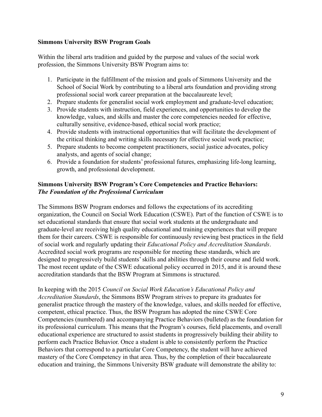#### <span id="page-8-0"></span>**Simmons University BSW Program Goals**

Within the liberal arts tradition and guided by the purpose and values of the social work profession, the Simmons University BSW Program aims to:

- 1. Participate in the fulfillment of the mission and goals of Simmons University and the School of Social Work by contributing to a liberal arts foundation and providing strong professional social work career preparation at the baccalaureate level;
- 2. Prepare students for generalist social work employment and graduate-level education;
- 3. Provide students with instruction, field experiences, and opportunities to develop the knowledge, values, and skills and master the core competencies needed for effective, culturally sensitive, evidence-based, ethical social work practice;
- 4. Provide students with instructional opportunities that will facilitate the development of the critical thinking and writing skills necessary for effective social work practice;
- 5. Prepare students to become competent practitioners, social justice advocates, policy analysts, and agents of social change;
- 6. Provide a foundation for students' professional futures, emphasizing life-long learning, growth, and professional development.

#### <span id="page-8-1"></span>**Simmons University BSW Program's Core Competencies and Practice Behaviors:** *The Foundation of the Professional Curriculum*

The Simmons BSW Program endorses and follows the expectations of its accrediting organization, the Council on Social Work Education (CSWE). Part of the function of CSWE is to set educational standards that ensure that social work students at the undergraduate and graduate-level are receiving high quality educational and training experiences that will prepare them for their careers. CSWE is responsible for continuously reviewing best practices in the field of social work and regularly updating their *Educational Policy and Accreditation Standards*. Accredited social work programs are responsible for meeting these standards, which are designed to progressively build students' skills and abilities through their course and field work. The most recent update of the CSWE educational policy occurred in 2015, and it is around these accreditation standards that the BSW Program at Simmons is structured.

In keeping with the 2015 *Council on Social Work Education's Educational Policy and Accreditation Standards*, the Simmons BSW Program strives to prepare its graduates for generalist practice through the mastery of the knowledge, values, and skills needed for effective, competent, ethical practice. Thus, the BSW Program has adopted the nine CSWE Core Competencies (numbered) and accompanying Practice Behaviors (bulleted) as the foundation for its professional curriculum. This means that the Program's courses, field placements, and overall educational experience are structured to assist students in progressively building their ability to perform each Practice Behavior. Once a student is able to consistently perform the Practice Behaviors that correspond to a particular Core Competency, the student will have achieved mastery of the Core Competency in that area. Thus, by the completion of their baccalaureate education and training, the Simmons University BSW graduate will demonstrate the ability to: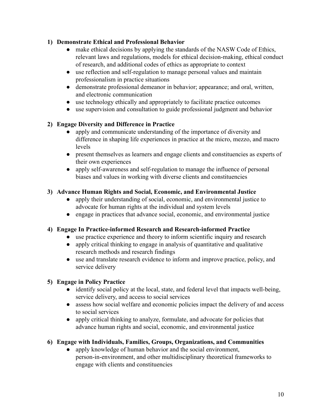# **1) Demonstrate Ethical and Professional Behavior**

- make ethical decisions by applying the standards of the NASW Code of Ethics, relevant laws and regulations, models for ethical decision-making, ethical conduct of research, and additional codes of ethics as appropriate to context
- use reflection and self-regulation to manage personal values and maintain professionalism in practice situations
- demonstrate professional demeanor in behavior; appearance; and oral, written, and electronic communication
- use technology ethically and appropriately to facilitate practice outcomes
- use supervision and consultation to guide professional judgment and behavior

# **2) Engage Diversity and Difference in Practice**

- apply and communicate understanding of the importance of diversity and difference in shaping life experiences in practice at the micro, mezzo, and macro levels
- present themselves as learners and engage clients and constituencies as experts of their own experiences
- apply self-awareness and self-regulation to manage the influence of personal biases and values in working with diverse clients and constituencies

# **3) Advance Human Rights and Social, Economic, and Environmental Justice**

- apply their understanding of social, economic, and environmental justice to advocate for human rights at the individual and system levels
- engage in practices that advance social, economic, and environmental justice

#### **4) Engage In Practice-informed Research and Research-informed Practice**

- use practice experience and theory to inform scientific inquiry and research
- apply critical thinking to engage in analysis of quantitative and qualitative research methods and research findings
- use and translate research evidence to inform and improve practice, policy, and service delivery

#### **5) Engage in Policy Practice**

- identify social policy at the local, state, and federal level that impacts well-being, service delivery, and access to social services
- assess how social welfare and economic policies impact the delivery of and access to social services
- apply critical thinking to analyze, formulate, and advocate for policies that advance human rights and social, economic, and environmental justice

# **6) Engage with Individuals, Families, Groups, Organizations, and Communities**

apply knowledge of human behavior and the social environment, person-in-environment, and other multidisciplinary theoretical frameworks to engage with clients and constituencies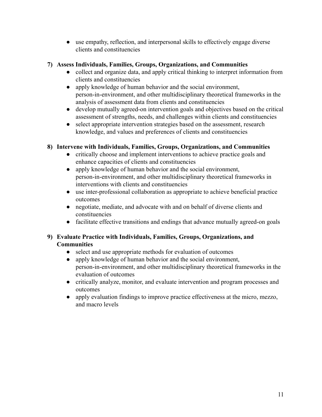● use empathy, reflection, and interpersonal skills to effectively engage diverse clients and constituencies

# **7) Assess Individuals, Families, Groups, Organizations, and Communities**

- collect and organize data, and apply critical thinking to interpret information from clients and constituencies
- apply knowledge of human behavior and the social environment, person-in-environment, and other multidisciplinary theoretical frameworks in the analysis of assessment data from clients and constituencies
- develop mutually agreed-on intervention goals and objectives based on the critical assessment of strengths, needs, and challenges within clients and constituencies
- select appropriate intervention strategies based on the assessment, research knowledge, and values and preferences of clients and constituencies

# **8) Intervene with Individuals, Families, Groups, Organizations, and Communities**

- critically choose and implement interventions to achieve practice goals and enhance capacities of clients and constituencies
- apply knowledge of human behavior and the social environment, person-in-environment, and other multidisciplinary theoretical frameworks in interventions with clients and constituencies
- use inter-professional collaboration as appropriate to achieve beneficial practice outcomes
- negotiate, mediate, and advocate with and on behalf of diverse clients and constituencies
- facilitate effective transitions and endings that advance mutually agreed-on goals

# **9) Evaluate Practice with Individuals, Families, Groups, Organizations, and Communities**

- select and use appropriate methods for evaluation of outcomes
- apply knowledge of human behavior and the social environment, person-in-environment, and other multidisciplinary theoretical frameworks in the evaluation of outcomes
- critically analyze, monitor, and evaluate intervention and program processes and outcomes
- apply evaluation findings to improve practice effectiveness at the micro, mezzo, and macro levels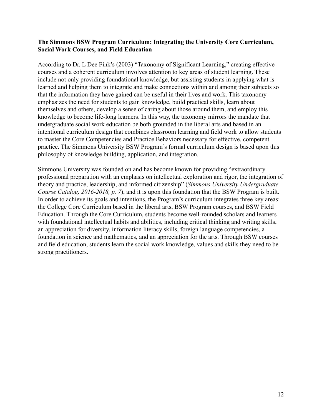#### <span id="page-11-0"></span>**The Simmons BSW Program Curriculum: Integrating the University Core Curriculum, Social Work Courses, and Field Education**

According to Dr. L Dee Fink's (2003) "Taxonomy of Significant Learning," creating effective courses and a coherent curriculum involves attention to key areas of student learning. These include not only providing foundational knowledge, but assisting students in applying what is learned and helping them to integrate and make connections within and among their subjects so that the information they have gained can be useful in their lives and work. This taxonomy emphasizes the need for students to gain knowledge, build practical skills, learn about themselves and others, develop a sense of caring about those around them, and employ this knowledge to become life-long learners. In this way, the taxonomy mirrors the mandate that undergraduate social work education be both grounded in the liberal arts and based in an intentional curriculum design that combines classroom learning and field work to allow students to master the Core Competencies and Practice Behaviors necessary for effective, competent practice. The Simmons University BSW Program's formal curriculum design is based upon this philosophy of knowledge building, application, and integration.

Simmons University was founded on and has become known for providing "extraordinary professional preparation with an emphasis on intellectual exploration and rigor, the integration of theory and practice, leadership, and informed citizenship" (*Simmons University Undergraduate Course Catalog, 2016-2018, p. 7*), and it is upon this foundation that the BSW Program is built. In order to achieve its goals and intentions, the Program's curriculum integrates three key areas: the College Core Curriculum based in the liberal arts, BSW Program courses, and BSW Field Education. Through the Core Curriculum, students become well-rounded scholars and learners with foundational intellectual habits and abilities, including critical thinking and writing skills, an appreciation for diversity, information literacy skills, foreign language competencies, a foundation in science and mathematics, and an appreciation for the arts. Through BSW courses and field education, students learn the social work knowledge, values and skills they need to be strong practitioners.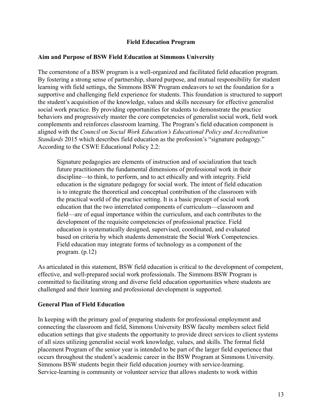#### **Field Education Program**

#### <span id="page-12-1"></span><span id="page-12-0"></span>**Aim and Purpose of BSW Field Education at Simmons University**

The cornerstone of a BSW program is a well-organized and facilitated field education program. By fostering a strong sense of partnership, shared purpose, and mutual responsibility for student learning with field settings, the Simmons BSW Program endeavors to set the foundation for a supportive and challenging field experience for students. This foundation is structured to support the student's acquisition of the knowledge, values and skills necessary for effective generalist social work practice. By providing opportunities for students to demonstrate the practice behaviors and progressively master the core competencies of generalist social work, field work complements and reinforces classroom learning. The Program's field education component is aligned with the *Council on Social Work Education's Educational Policy and Accreditation Standards* 2015 which describes field education as the profession's "signature pedagogy." According to the CSWE Educational Policy 2.2:

Signature pedagogies are elements of instruction and of socialization that teach future practitioners the fundamental dimensions of professional work in their discipline—to think, to perform, and to act ethically and with integrity. Field education is the signature pedagogy for social work. The intent of field education is to integrate the theoretical and conceptual contribution of the classroom with the practical world of the practice setting. It is a basic precept of social work education that the two interrelated components of curriculum—classroom and field—are of equal importance within the curriculum, and each contributes to the development of the requisite competencies of professional practice. Field education is systematically designed, supervised, coordinated, and evaluated based on criteria by which students demonstrate the Social Work Competencies. Field education may integrate forms of technology as a component of the program. (p.12)

As articulated in this statement, BSW field education is critical to the development of competent, effective, and well-prepared social work professionals. The Simmons BSW Program is committed to facilitating strong and diverse field education opportunities where students are challenged and their learning and professional development is supported.

#### <span id="page-12-2"></span>**General Plan of Field Education**

In keeping with the primary goal of preparing students for professional employment and connecting the classroom and field, Simmons University BSW faculty members select field education settings that give students the opportunity to provide direct services to client systems of all sizes utilizing generalist social work knowledge, values, and skills. The formal field placement Program of the senior year is intended to be part of the larger field experience that occurs throughout the student's academic career in the BSW Program at Simmons University. Simmons BSW students begin their field education journey with service-learning. Service-learning is community or volunteer service that allows students to work within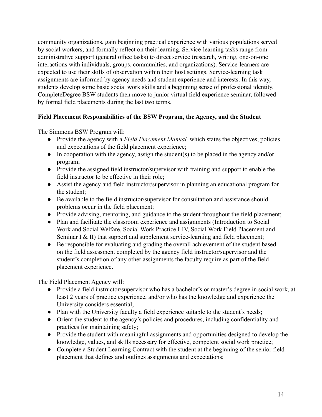by social workers, and formally reflect on their learning. Service-learning tasks range from administrative support (general office tasks) to direct service (research, writing, one-on-one interactions with individuals, groups, communities, and organizations). Service-learners are expected to use their skills of observation within their host settings. Service-learning task assignments are informed by agency needs and student experience and interests. In this way, community organizations, gain beginning practical experience with various populations served students develop some basic social work skills and a beginning sense of professional identity. CompleteDegree BSW students then move to junior virtual field experience seminar, followed by formal field placements during the last two terms.

# <span id="page-13-0"></span>**Field Placement Responsibilities of the BSW Program, the Agency, and the Student**

The Simmons BSW Program will:

- Provide the agency with a *Field Placement Manual,* which states the objectives, policies and expectations of the field placement experience;
- $\bullet$  In cooperation with the agency, assign the student(s) to be placed in the agency and/or program;
- Provide the assigned field instructor/supervisor with training and support to enable the field instructor to be effective in their role;
- Assist the agency and field instructor/supervisor in planning an educational program for the student;
- Be available to the field instructor/supervisor for consultation and assistance should problems occur in the field placement;
- Provide advising, mentoring, and guidance to the student throughout the field placement;
- Plan and facilitate the classroom experience and assignments (Introduction to Social Work and Social Welfare, Social Work Practice I-IV, Social Work Field Placement and Seminar I & II) that support and supplement service-learning and field placement;
- Be responsible for evaluating and grading the overall achievement of the student based on the field assessment completed by the agency field instructor/supervisor and the student's completion of any other assignments the faculty require as part of the field placement experience.

The Field Placement Agency will:

- Provide a field instructor/supervisor who has a bachelor's or master's degree in social work, at least 2 years of practice experience, and/or who has the knowledge and experience the University considers essential;
- Plan with the University faculty a field experience suitable to the student's needs;
- Orient the student to the agency's policies and procedures, including confidentiality and practices for maintaining safety;
- Provide the student with meaningful assignments and opportunities designed to develop the knowledge, values, and skills necessary for effective, competent social work practice;
- Complete a Student Learning Contract with the student at the beginning of the senior field placement that defines and outlines assignments and expectations;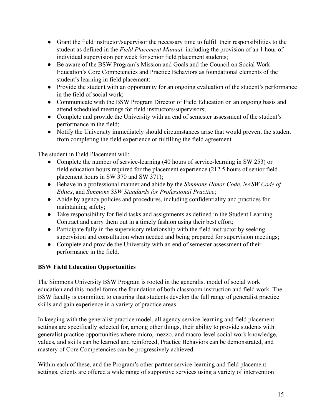- Grant the field instructor/supervisor the necessary time to fulfill their responsibilities to the student as defined in the *Field Placement Manual,* including the provision of an 1 hour of individual supervision per week for senior field placement students;
- Be aware of the BSW Program's Mission and Goals and the Council on Social Work Education's Core Competencies and Practice Behaviors as foundational elements of the student's learning in field placement;
- Provide the student with an opportunity for an ongoing evaluation of the student's performance in the field of social work;
- Communicate with the BSW Program Director of Field Education on an ongoing basis and attend scheduled meetings for field instructors/supervisors;
- Complete and provide the University with an end of semester assessment of the student's performance in the field;
- Notify the University immediately should circumstances arise that would prevent the student from completing the field experience or fulfilling the field agreement.

The student in Field Placement will:

- Complete the number of service-learning (40 hours of service-learning in SW 253) or field education hours required for the placement experience (212.5 hours of senior field placement hours in SW 370 and SW 371);
- Behave in a professional manner and abide by the *Simmons Honor Code*, *NASW Code of Ethics*, and *Simmons SSW Standards for Professional Practice*;
- Abide by agency policies and procedures, including confidentiality and practices for maintaining safety;
- Take responsibility for field tasks and assignments as defined in the Student Learning Contract and carry them out in a timely fashion using their best effort;
- Participate fully in the supervisory relationship with the field instructor by seeking supervision and consultation when needed and being prepared for supervision meetings;
- Complete and provide the University with an end of semester assessment of their performance in the field.

# <span id="page-14-0"></span>**BSW Field Education Opportunities**

The Simmons University BSW Program is rooted in the generalist model of social work education and this model forms the foundation of both classroom instruction and field work. The BSW faculty is committed to ensuring that students develop the full range of generalist practice skills and gain experience in a variety of practice areas.

In keeping with the generalist practice model, all agency service-learning and field placement settings are specifically selected for, among other things, their ability to provide students with generalist practice opportunities where micro, mezzo, and macro-level social work knowledge, values, and skills can be learned and reinforced, Practice Behaviors can be demonstrated, and mastery of Core Competencies can be progressively achieved.

Within each of these, and the Program's other partner service-learning and field placement settings, clients are offered a wide range of supportive services using a variety of intervention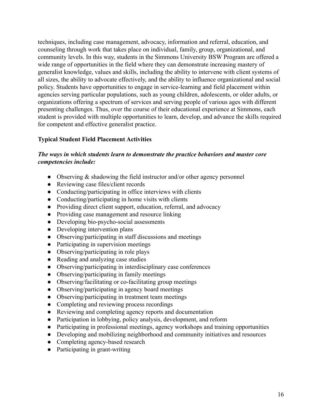techniques, including case management, advocacy, information and referral, education, and counseling through work that takes place on individual, family, group, organizational, and community levels. In this way, students in the Simmons University BSW Program are offered a wide range of opportunities in the field where they can demonstrate increasing mastery of generalist knowledge, values and skills, including the ability to intervene with client systems of all sizes, the ability to advocate effectively, and the ability to influence organizational and social policy. Students have opportunities to engage in service-learning and field placement within agencies serving particular populations, such as young children, adolescents, or older adults, or organizations offering a spectrum of services and serving people of various ages with different presenting challenges. Thus, over the course of their educational experience at Simmons, each student is provided with multiple opportunities to learn, develop, and advance the skills required for competent and effective generalist practice.

# <span id="page-15-0"></span>**Typical Student Field Placement Activities**

### *The ways in which students learn to demonstrate the practice behaviors and master core competencies include:*

- Observing & shadowing the field instructor and/or other agency personnel
- Reviewing case files/client records
- Conducting/participating in office interviews with clients
- Conducting/participating in home visits with clients
- Providing direct client support, education, referral, and advocacy
- Providing case management and resource linking
- Developing bio-psycho-social assessments
- Developing intervention plans
- Observing/participating in staff discussions and meetings
- Participating in supervision meetings
- Observing/participating in role plays
- Reading and analyzing case studies
- Observing/participating in interdisciplinary case conferences
- Observing/participating in family meetings
- Observing/facilitating or co-facilitating group meetings
- Observing/participating in agency board meetings
- Observing/participating in treatment team meetings
- Completing and reviewing process recordings
- Reviewing and completing agency reports and documentation
- Participation in lobbying, policy analysis, development, and reform
- Participating in professional meetings, agency workshops and training opportunities
- Developing and mobilizing neighborhood and community initiatives and resources
- Completing agency-based research
- Participating in grant-writing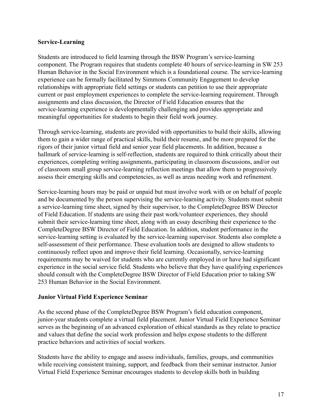#### <span id="page-16-0"></span>**Service-Learning**

Students are introduced to field learning through the BSW Program's service-learning component. The Program requires that students complete 40 hours of service-learning in SW 253 Human Behavior in the Social Environment which is a foundational course. The service-learning experience can be formally facilitated by Simmons Community Engagement to develop relationships with appropriate field settings or students can petition to use their appropriate current or past employment experiences to complete the service-learning requirement. Through assignments and class discussion, the Director of Field Education ensures that the service-learning experience is developmentally challenging and provides appropriate and meaningful opportunities for students to begin their field work journey.

Through service-learning, students are provided with opportunities to build their skills, allowing them to gain a wider range of practical skills, build their resume, and be more prepared for the rigors of their junior virtual field and senior year field placements. In addition, because a hallmark of service-learning is self-reflection, students are required to think critically about their experiences, completing writing assignments, participating in classroom discussions, and/or out of classroom small group service-learning reflection meetings that allow them to progressively assess their emerging skills and competencies, as well as areas needing work and refinement.

Service-learning hours may be paid or unpaid but must involve work with or on behalf of people and be documented by the person supervising the service-learning activity. Students must submit a service-learning time sheet, signed by their supervisor, to the CompleteDegree BSW Director of Field Education. If students are using their past work/volunteer experiences, they should submit their service-learning time sheet, along with an essay describing their experience to the CompleteDegree BSW Director of Field Education. In addition, student performance in the service-learning setting is evaluated by the service-learning supervisor. Students also complete a self-assessment of their performance. These evaluation tools are designed to allow students to continuously reflect upon and improve their field learning. Occasionally, service-learning requirements may be waived for students who are currently employed in or have had significant experience in the social service field. Students who believe that they have qualifying experiences should consult with the CompleteDegree BSW Director of Field Education prior to taking SW 253 Human Behavior in the Social Environment.

#### <span id="page-16-1"></span>**Junior Virtual Field Experience Seminar**

As the second phase of the CompleteDegree BSW Program's field education component, junior-year students complete a virtual field placement. Junior Virtual Field Experience Seminar serves as the beginning of an advanced exploration of ethical standards as they relate to practice and values that define the social work profession and helps expose students to the different practice behaviors and activities of social workers.

Students have the ability to engage and assess individuals, families, groups, and communities while receiving consistent training, support, and feedback from their seminar instructor. Junior Virtual Field Experience Seminar encourages students to develop skills both in building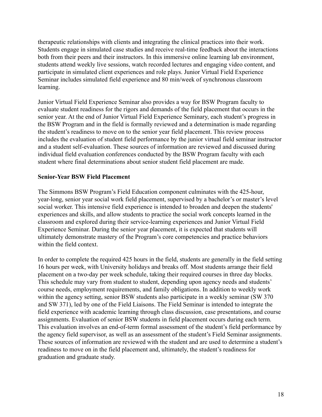therapeutic relationships with clients and integrating the clinical practices into their work. Students engage in simulated case studies and receive real-time feedback about the interactions both from their peers and their instructors. In this immersive online learning lab environment, students attend weekly live sessions, watch recorded lectures and engaging video content, and participate in simulated client experiences and role plays. Junior Virtual Field Experience Seminar includes simulated field experience and 80 min/week of synchronous classroom learning.

Junior Virtual Field Experience Seminar also provides a way for BSW Program faculty to evaluate student readiness for the rigors and demands of the field placement that occurs in the senior year. At the end of Junior Virtual Field Experience Seminary, each student's progress in the BSW Program and in the field is formally reviewed and a determination is made regarding the student's readiness to move on to the senior year field placement. This review process includes the evaluation of student field performance by the junior virtual field seminar instructor and a student self-evaluation. These sources of information are reviewed and discussed during individual field evaluation conferences conducted by the BSW Program faculty with each student where final determinations about senior student field placement are made.

#### <span id="page-17-0"></span>**Senior-Year BSW Field Placement**

The Simmons BSW Program's Field Education component culminates with the 425-hour, year-long, senior year social work field placement, supervised by a bachelor's or master's level social worker. This intensive field experience is intended to broaden and deepen the students' experiences and skills, and allow students to practice the social work concepts learned in the classroom and explored during their service-learning experiences and Junior Virtual Field Experience Seminar. During the senior year placement, it is expected that students will ultimately demonstrate mastery of the Program's core competencies and practice behaviors within the field context.

In order to complete the required 425 hours in the field, students are generally in the field setting 16 hours per week, with University holidays and breaks off. Most students arrange their field placement on a two-day per week schedule, taking their required courses in three day blocks. This schedule may vary from student to student, depending upon agency needs and students' course needs, employment requirements, and family obligations. In addition to weekly work within the agency setting, senior BSW students also participate in a weekly seminar (SW 370) and SW 371), led by one of the Field Liaisons. The Field Seminar is intended to integrate the field experience with academic learning through class discussion, case presentations, and course assignments. Evaluation of senior BSW students in field placement occurs during each term. This evaluation involves an end-of-term formal assessment of the student's field performance by the agency field supervisor, as well as an assessment of the student's Field Seminar assignments. These sources of information are reviewed with the student and are used to determine a student's readiness to move on in the field placement and, ultimately, the student's readiness for graduation and graduate study.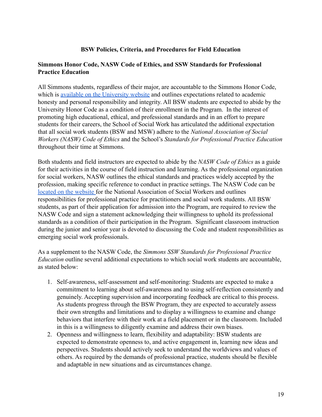#### **BSW Policies, Criteria, and Procedures for Field Education**

#### <span id="page-18-1"></span><span id="page-18-0"></span>**Simmons Honor Code, NASW Code of Ethics, and SSW Standards for Professional Practice Education**

All Simmons students, regardless of their major, are accountable to the Simmons Honor Code, which is [available on the University website](https://www2.simmons.edu/documents/students/Simmons-University-Code-of-Conduct.pdf) and outlines expectations related to academic honesty and personal responsibility and integrity. All BSW students are expected to abide by the University Honor Code as a condition of their enrollment in the Program. In the interest of promoting high educational, ethical, and professional standards and in an effort to prepare students for their careers, the School of Social Work has articulated the additional expectation that all social work students (BSW and MSW) adhere to the *National Association of Social Workers (NASW) Code of Ethics* and the School's *Standards for Professional Practice Education* throughout their time at Simmons.

Both students and field instructors are expected to abide by the *NASW Code of Ethics* as a guide for their activities in the course of field instruction and learning. As the professional organization for social workers, NASW outlines the ethical standards and practices widely accepted by the profession, making specific reference to conduct in practice settings. The NASW Code can be [located on the website](https://www.socialworkers.org/About/Ethics/Code-of-Ethics/Code-of-Ethics-English) for the National Association of Social Workers and outlines responsibilities for professional practice for practitioners and social work students. All BSW students, as part of their application for admission into the Program, are required to review the NASW Code and sign a statement acknowledging their willingness to uphold its professional standards as a condition of their participation in the Program. Significant classroom instruction during the junior and senior year is devoted to discussing the Code and student responsibilities as emerging social work professionals.

As a supplement to the NASW Code, the *Simmons SSW Standards for Professional Practice Education* outline several additional expectations to which social work students are accountable, as stated below:

- 1. Self-awareness, self-assessment and self-monitoring: Students are expected to make a commitment to learning about self-awareness and to using self-reflection consistently and genuinely. Accepting supervision and incorporating feedback are critical to this process. As students progress through the BSW Program, they are expected to accurately assess their own strengths and limitations and to display a willingness to examine and change behaviors that interfere with their work at a field placement or in the classroom. Included in this is a willingness to diligently examine and address their own biases.
- 2. Openness and willingness to learn, flexibility and adaptability: BSW students are expected to demonstrate openness to, and active engagement in, learning new ideas and perspectives. Students should actively seek to understand the worldviews and values of others. As required by the demands of professional practice, students should be flexible and adaptable in new situations and as circumstances change.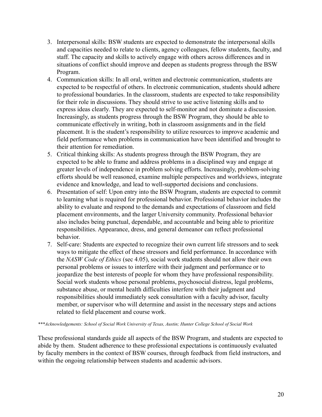- 3. Interpersonal skills: BSW students are expected to demonstrate the interpersonal skills and capacities needed to relate to clients, agency colleagues, fellow students, faculty, and staff. The capacity and skills to actively engage with others across differences and in situations of conflict should improve and deepen as students progress through the BSW Program.
- 4. Communication skills: In all oral, written and electronic communication, students are expected to be respectful of others. In electronic communication, students should adhere to professional boundaries. In the classroom, students are expected to take responsibility for their role in discussions. They should strive to use active listening skills and to express ideas clearly. They are expected to self-monitor and not dominate a discussion. Increasingly, as students progress through the BSW Program, they should be able to communicate effectively in writing, both in classroom assignments and in the field placement. It is the student's responsibility to utilize resources to improve academic and field performance when problems in communication have been identified and brought to their attention for remediation.
- 5. Critical thinking skills: As students progress through the BSW Program, they are expected to be able to frame and address problems in a disciplined way and engage at greater levels of independence in problem solving efforts. Increasingly, problem-solving efforts should be well reasoned, examine multiple perspectives and worldviews, integrate evidence and knowledge, and lead to well-supported decisions and conclusions.
- 6. Presentation of self: Upon entry into the BSW Program, students are expected to commit to learning what is required for professional behavior. Professional behavior includes the ability to evaluate and respond to the demands and expectations of classroom and field placement environments, and the larger University community. Professional behavior also includes being punctual, dependable, and accountable and being able to prioritize responsibilities. Appearance, dress, and general demeanor can reflect professional behavior.
- 7. Self-care: Students are expected to recognize their own current life stressors and to seek ways to mitigate the effect of these stressors and field performance. In accordance with the *NASW Code of Ethics* (sec 4.05), social work students should not allow their own personal problems or issues to interfere with their judgment and performance or to jeopardize the best interests of people for whom they have professional responsibility. Social work students whose personal problems, psychosocial distress, legal problems, substance abuse, or mental health difficulties interfere with their judgment and responsibilities should immediately seek consultation with a faculty advisor, faculty member, or supervisor who will determine and assist in the necessary steps and actions related to field placement and course work.

*\*\*\*Acknowledgements: School of Social Work University of Texas, Austin; Hunter College School of Social Work*

These professional standards guide all aspects of the BSW Program, and students are expected to abide by them. Student adherence to these professional expectations is continuously evaluated by faculty members in the context of BSW courses, through feedback from field instructors, and within the ongoing relationship between students and academic advisors.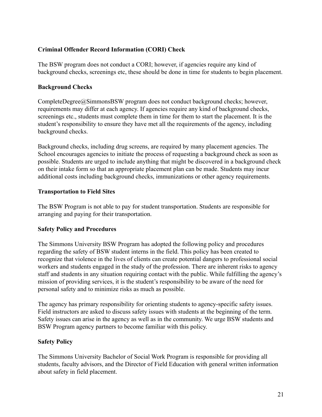# <span id="page-20-0"></span>**Criminal Offender Record Information (CORI) Check**

The BSW program does not conduct a CORI; however, if agencies require any kind of background checks, screenings etc, these should be done in time for students to begin placement.

# **Background Checks**

CompleteDegree@SimmonsBSW program does not conduct background checks; however, requirements may differ at each agency. If agencies require any kind of background checks, screenings etc., students must complete them in time for them to start the placement. It is the student's responsibility to ensure they have met all the requirements of the agency, including background checks.

Background checks, including drug screens, are required by many placement agencies. The School encourages agencies to initiate the process of requesting a background check as soon as possible. Students are urged to include anything that might be discovered in a background check on their intake form so that an appropriate placement plan can be made. Students may incur additional costs including background checks, immunizations or other agency requirements.

#### <span id="page-20-1"></span>**Transportation to Field Sites**

 The BSW Program is not able to pay for student transportation. Students are responsible for arranging and paying for their transportation.

#### <span id="page-20-2"></span>**Safety Policy and Procedures**

The Simmons University BSW Program has adopted the following policy and procedures regarding the safety of BSW student interns in the field. This policy has been created to recognize that violence in the lives of clients can create potential dangers to professional social workers and students engaged in the study of the profession. There are inherent risks to agency staff and students in any situation requiring contact with the public. While fulfilling the agency's mission of providing services, it is the student's responsibility to be aware of the need for personal safety and to minimize risks as much as possible.

The agency has primary responsibility for orienting students to agency-specific safety issues. Field instructors are asked to discuss safety issues with students at the beginning of the term. Safety issues can arise in the agency as well as in the community. We urge BSW students and BSW Program agency partners to become familiar with this policy.

#### <span id="page-20-3"></span>**Safety Policy**

The Simmons University Bachelor of Social Work Program is responsible for providing all students, faculty advisors, and the Director of Field Education with general written information about safety in field placement.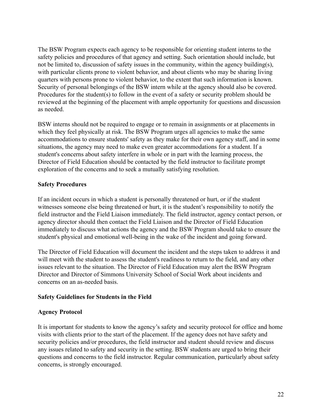The BSW Program expects each agency to be responsible for orienting student interns to the safety policies and procedures of that agency and setting. Such orientation should include, but not be limited to, discussion of safety issues in the community, within the agency building(s), with particular clients prone to violent behavior, and about clients who may be sharing living quarters with persons prone to violent behavior, to the extent that such information is known. Security of personal belongings of the BSW intern while at the agency should also be covered. Procedures for the student(s) to follow in the event of a safety or security problem should be reviewed at the beginning of the placement with ample opportunity for questions and discussion as needed.

BSW interns should not be required to engage or to remain in assignments or at placements in which they feel physically at risk. The BSW Program urges all agencies to make the same accommodations to ensure students' safety as they make for their own agency staff, and in some situations, the agency may need to make even greater accommodations for a student. If a student's concerns about safety interfere in whole or in part with the learning process, the Director of Field Education should be contacted by the field instructor to facilitate prompt exploration of the concerns and to seek a mutually satisfying resolution.

#### <span id="page-21-0"></span>**Safety Procedures**

If an incident occurs in which a student is personally threatened or hurt, or if the student witnesses someone else being threatened or hurt, it is the student's responsibility to notify the field instructor and the Field Liaison immediately. The field instructor, agency contact person, or agency director should then contact the Field Liaison and the Director of Field Education immediately to discuss what actions the agency and the BSW Program should take to ensure the student's physical and emotional well-being in the wake of the incident and going forward.

The Director of Field Education will document the incident and the steps taken to address it and will meet with the student to assess the student's readiness to return to the field, and any other issues relevant to the situation. The Director of Field Education may alert the BSW Program Director and Director of Simmons University School of Social Work about incidents and concerns on an as-needed basis.

#### <span id="page-21-1"></span>**Safety Guidelines for Students in the Field**

#### <span id="page-21-2"></span>**Agency Protocol**

It is important for students to know the agency's safety and security protocol for office and home visits with clients prior to the start of the placement. If the agency does not have safety and security policies and/or procedures, the field instructor and student should review and discuss any issues related to safety and security in the setting. BSW students are urged to bring their questions and concerns to the field instructor. Regular communication, particularly about safety concerns, is strongly encouraged.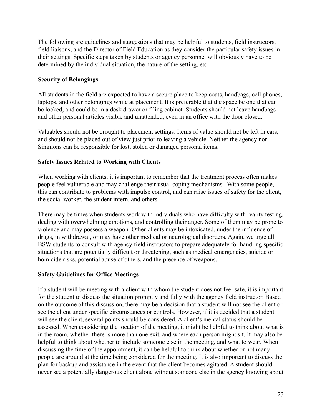The following are guidelines and suggestions that may be helpful to students, field instructors, field liaisons, and the Director of Field Education as they consider the particular safety issues in their settings. Specific steps taken by students or agency personnel will obviously have to be determined by the individual situation, the nature of the setting, etc.

### <span id="page-22-0"></span>**Security of Belongings**

All students in the field are expected to have a secure place to keep coats, handbags, cell phones, laptops, and other belongings while at placement. It is preferable that the space be one that can be locked, and could be in a desk drawer or filing cabinet. Students should not leave handbags and other personal articles visible and unattended, even in an office with the door closed.

Valuables should not be brought to placement settings. Items of value should not be left in cars, and should not be placed out of view just prior to leaving a vehicle. Neither the agency nor Simmons can be responsible for lost, stolen or damaged personal items.

# <span id="page-22-1"></span>**Safety Issues Related to Working with Clients**

When working with clients, it is important to remember that the treatment process often makes people feel vulnerable and may challenge their usual coping mechanisms. With some people, this can contribute to problems with impulse control, and can raise issues of safety for the client, the social worker, the student intern, and others.

There may be times when students work with individuals who have difficulty with reality testing, dealing with overwhelming emotions, and controlling their anger. Some of them may be prone to violence and may possess a weapon. Other clients may be intoxicated, under the influence of drugs, in withdrawal, or may have other medical or neurological disorders. Again, we urge all BSW students to consult with agency field instructors to prepare adequately for handling specific situations that are potentially difficult or threatening, such as medical emergencies, suicide or homicide risks, potential abuse of others, and the presence of weapons.

#### <span id="page-22-2"></span>**Safety Guidelines for Office Meetings**

If a student will be meeting with a client with whom the student does not feel safe, it is important for the student to discuss the situation promptly and fully with the agency field instructor. Based on the outcome of this discussion, there may be a decision that a student will not see the client or see the client under specific circumstances or controls. However, if it is decided that a student will see the client, several points should be considered. A client's mental status should be assessed. When considering the location of the meeting, it might be helpful to think about what is in the room, whether there is more than one exit, and where each person might sit. It may also be helpful to think about whether to include someone else in the meeting, and what to wear. When discussing the time of the appointment, it can be helpful to think about whether or not many people are around at the time being considered for the meeting. It is also important to discuss the plan for backup and assistance in the event that the client becomes agitated. A student should never see a potentially dangerous client alone without someone else in the agency knowing about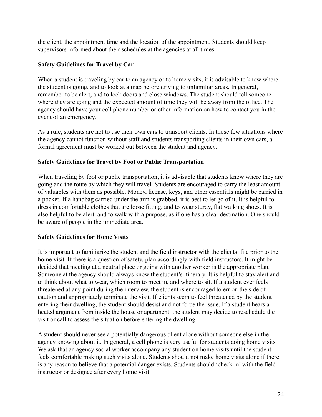the client, the appointment time and the location of the appointment. Students should keep supervisors informed about their schedules at the agencies at all times.

# <span id="page-23-0"></span>**Safety Guidelines for Travel by Car**

When a student is traveling by car to an agency or to home visits, it is advisable to know where the student is going, and to look at a map before driving to unfamiliar areas. In general, remember to be alert, and to lock doors and close windows. The student should tell someone where they are going and the expected amount of time they will be away from the office. The agency should have your cell phone number or other information on how to contact you in the event of an emergency.

As a rule, students are not to use their own cars to transport clients. In those few situations where the agency cannot function without staff and students transporting clients in their own cars, a formal agreement must be worked out between the student and agency.

# <span id="page-23-1"></span>**Safety Guidelines for Travel by Foot or Public Transportation**

When traveling by foot or public transportation, it is advisable that students know where they are going and the route by which they will travel. Students are encouraged to carry the least amount of valuables with them as possible. Money, license, keys, and other essentials might be carried in a pocket. If a handbag carried under the arm is grabbed, it is best to let go of it. It is helpful to dress in comfortable clothes that are loose fitting, and to wear sturdy, flat walking shoes. It is also helpful to be alert, and to walk with a purpose, as if one has a clear destination. One should be aware of people in the immediate area.

#### <span id="page-23-2"></span>**Safety Guidelines for Home Visits**

It is important to familiarize the student and the field instructor with the clients' file prior to the home visit. If there is a question of safety, plan accordingly with field instructors. It might be decided that meeting at a neutral place or going with another worker is the appropriate plan. Someone at the agency should always know the student's itinerary. It is helpful to stay alert and to think about what to wear, which room to meet in, and where to sit. If a student ever feels threatened at any point during the interview, the student is encouraged to err on the side of caution and appropriately terminate the visit. If clients seem to feel threatened by the student entering their dwelling, the student should desist and not force the issue. If a student hears a heated argument from inside the house or apartment, the student may decide to reschedule the visit or call to assess the situation before entering the dwelling.

A student should never see a potentially dangerous client alone without someone else in the agency knowing about it. In general, a cell phone is very useful for students doing home visits. We ask that an agency social worker accompany any student on home visits until the student feels comfortable making such visits alone. Students should not make home visits alone if there is any reason to believe that a potential danger exists. Students should 'check in' with the field instructor or designee after every home visit.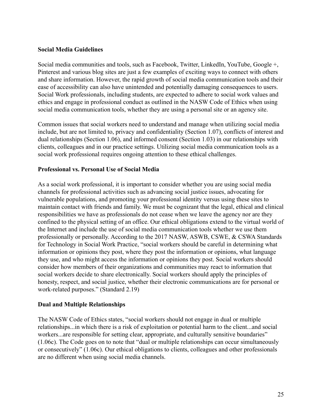#### <span id="page-24-0"></span>**Social Media Guidelines**

Social media communities and tools, such as Facebook, Twitter, LinkedIn, YouTube, Google +, Pinterest and various blog sites are just a few examples of exciting ways to connect with others and share information. However, the rapid growth of social media communication tools and their ease of accessibility can also have unintended and potentially damaging consequences to users. Social Work professionals, including students, are expected to adhere to social work values and ethics and engage in professional conduct as outlined in the NASW Code of Ethics when using social media communication tools, whether they are using a personal site or an agency site.

Common issues that social workers need to understand and manage when utilizing social media include, but are not limited to, privacy and confidentiality (Section 1.07), conflicts of interest and dual relationships (Section 1.06), and informed consent (Section 1.03) in our relationships with clients, colleagues and in our practice settings. Utilizing social media communication tools as a social work professional requires ongoing attention to these ethical challenges.

#### <span id="page-24-1"></span>**Professional vs. Personal Use of Social Media**

As a social work professional, it is important to consider whether you are using social media channels for professional activities such as advancing social justice issues, advocating for vulnerable populations, and promoting your professional identity versus using these sites to maintain contact with friends and family. We must be cognizant that the legal, ethical and clinical responsibilities we have as professionals do not cease when we leave the agency nor are they confined to the physical setting of an office. Our ethical obligations extend to the virtual world of the Internet and include the use of social media communication tools whether we use them professionally or personally. According to the 2017 NASW, ASWB, CSWE, & CSWA Standards for Technology in Social Work Practice, "social workers should be careful in determining what information or opinions they post, where they post the information or opinions, what language they use, and who might access the information or opinions they post. Social workers should consider how members of their organizations and communities may react to information that social workers decide to share electronically. Social workers should apply the principles of honesty, respect, and social justice, whether their electronic communications are for personal or work-related purposes." (Standard 2.19)

#### <span id="page-24-2"></span>**Dual and Multiple Relationships**

The NASW Code of Ethics states, "social workers should not engage in dual or multiple relationships...in which there is a risk of exploitation or potential harm to the client...and social workers...are responsible for setting clear, appropriate, and culturally sensitive boundaries" (1.06c). The Code goes on to note that "dual or multiple relationships can occur simultaneously or consecutively" (1.06c). Our ethical obligations to clients, colleagues and other professionals are no different when using social media channels.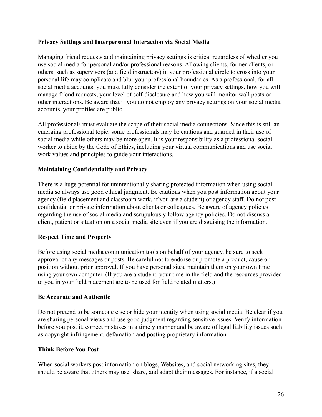#### <span id="page-25-0"></span>**Privacy Settings and Interpersonal Interaction via Social Media**

Managing friend requests and maintaining privacy settings is critical regardless of whether you use social media for personal and/or professional reasons. Allowing clients, former clients, or others, such as supervisors (and field instructors) in your professional circle to cross into your personal life may complicate and blur your professional boundaries. As a professional, for all social media accounts, you must fully consider the extent of your privacy settings, how you will manage friend requests, your level of self-disclosure and how you will monitor wall posts or other interactions. Be aware that if you do not employ any privacy settings on your social media accounts, your profiles are public.

All professionals must evaluate the scope of their social media connections. Since this is still an emerging professional topic, some professionals may be cautious and guarded in their use of social media while others may be more open. It is your responsibility as a professional social worker to abide by the Code of Ethics, including your virtual communications and use social work values and principles to guide your interactions.

#### <span id="page-25-1"></span>**Maintaining Confidentiality and Privacy**

There is a huge potential for unintentionally sharing protected information when using social media so always use good ethical judgment. Be cautious when you post information about your agency (field placement and classroom work, if you are a student) or agency staff. Do not post confidential or private information about clients or colleagues. Be aware of agency policies regarding the use of social media and scrupulously follow agency policies. Do not discuss a client, patient or situation on a social media site even if you are disguising the information.

#### <span id="page-25-2"></span>**Respect Time and Property**

Before using social media communication tools on behalf of your agency, be sure to seek approval of any messages or posts. Be careful not to endorse or promote a product, cause or position without prior approval. If you have personal sites, maintain them on your own time using your own computer. (If you are a student, your time in the field and the resources provided to you in your field placement are to be used for field related matters.)

#### <span id="page-25-3"></span>**Be Accurate and Authentic**

Do not pretend to be someone else or hide your identity when using social media. Be clear if you are sharing personal views and use good judgment regarding sensitive issues. Verify information before you post it, correct mistakes in a timely manner and be aware of legal liability issues such as copyright infringement, defamation and posting proprietary information.

#### <span id="page-25-4"></span>**Think Before You Post**

When social workers post information on blogs, Websites, and social networking sites, they should be aware that others may use, share, and adapt their messages. For instance, if a social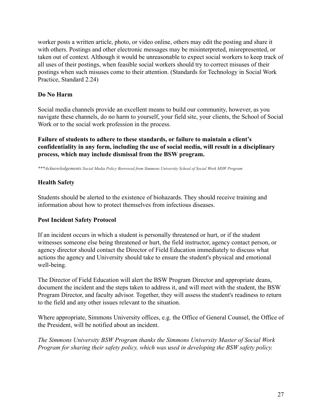worker posts a written article, photo, or video online, others may edit the posting and share it with others. Postings and other electronic messages may be misinterpreted, misrepresented, or taken out of context. Although it would be unreasonable to expect social workers to keep track of all uses of their postings, when feasible social workers should try to correct misuses of their postings when such misuses come to their attention. (Standards for Technology in Social Work Practice, Standard 2.24)

# <span id="page-26-0"></span>**Do No Harm**

Social media channels provide an excellent means to build our community, however, as you navigate these channels, do no harm to yourself, your field site, your clients, the School of Social Work or to the social work profession in the process.

**Failure of students to adhere to these standards, or failure to maintain a client's confidentiality in any form, including the use of social media, will result in a disciplinary process, which may include dismissal from the BSW program.**

 *\*\*\*Acknowledgements:Social Media Policy Borrowed from Simmons University School of Social Work MSW Program*

# <span id="page-26-1"></span>**Health Safety**

Students should be alerted to the existence of biohazards. They should receive training and information about how to protect themselves from infectious diseases.

#### <span id="page-26-2"></span>**Post Incident Safety Protocol**

If an incident occurs in which a student is personally threatened or hurt, or if the student witnesses someone else being threatened or hurt, the field instructor, agency contact person, or agency director should contact the Director of Field Education immediately to discuss what actions the agency and University should take to ensure the student's physical and emotional well-being.

The Director of Field Education will alert the BSW Program Director and appropriate deans, document the incident and the steps taken to address it, and will meet with the student, the BSW Program Director, and faculty advisor. Together, they will assess the student's readiness to return to the field and any other issues relevant to the situation.

Where appropriate, Simmons University offices, e.g. the Office of General Counsel, the Office of the President, will be notified about an incident.

*The Simmons University BSW Program thanks the Simmons University Master of Social Work Program for sharing their safety policy, which was used in developing the BSW safety policy.*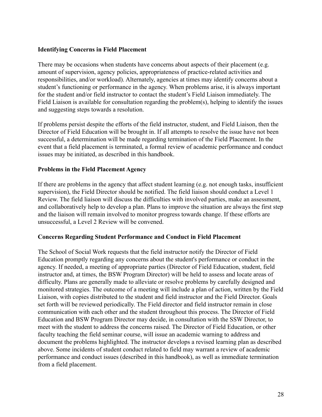#### <span id="page-27-0"></span>**Identifying Concerns in Field Placement**

There may be occasions when students have concerns about aspects of their placement (e.g. amount of supervision, agency policies, appropriateness of practice-related activities and responsibilities, and/or workload). Alternately, agencies at times may identify concerns about a student's functioning or performance in the agency. When problems arise, it is always important for the student and/or field instructor to contact the student's Field Liaison immediately. The Field Liaison is available for consultation regarding the problem(s), helping to identify the issues and suggesting steps towards a resolution.

If problems persist despite the efforts of the field instructor, student, and Field Liaison, then the Director of Field Education will be brought in. If all attempts to resolve the issue have not been successful, a determination will be made regarding termination of the Field Placement. In the event that a field placement is terminated, a formal review of academic performance and conduct issues may be initiated, as described in this handbook.

#### <span id="page-27-1"></span>**Problems in the Field Placement Agency**

If there are problems in the agency that affect student learning (e.g. not enough tasks, insufficient supervision), the Field Director should be notified. The field liaison should conduct a Level 1 Review. The field liaison will discuss the difficulties with involved parties, make an assessment, and collaboratively help to develop a plan. Plans to improve the situation are always the first step and the liaison will remain involved to monitor progress towards change. If these efforts are unsuccessful, a Level 2 Review will be convened.

#### <span id="page-27-2"></span>**Concerns Regarding Student Performance and Conduct in Field Placement**

The School of Social Work requests that the field instructor notify the Director of Field Education promptly regarding any concerns about the student's performance or conduct in the agency. If needed, a meeting of appropriate parties (Director of Field Education, student, field instructor and, at times, the BSW Program Director) will be held to assess and locate areas of difficulty. Plans are generally made to alleviate or resolve problems by carefully designed and monitored strategies. The outcome of a meeting will include a plan of action, written by the Field Liaison, with copies distributed to the student and field instructor and the Field Director. Goals set forth will be reviewed periodically. The Field director and field instructor remain in close communication with each other and the student throughout this process. The Director of Field Education and BSW Program Director may decide, in consultation with the SSW Director, to meet with the student to address the concerns raised. The Director of Field Education, or other faculty teaching the field seminar course, will issue an academic warning to address and document the problems highlighted. The instructor develops a revised learning plan as described above. Some incidents of student conduct related to field may warrant a review of academic performance and conduct issues (described in this handbook), as well as immediate termination from a field placement.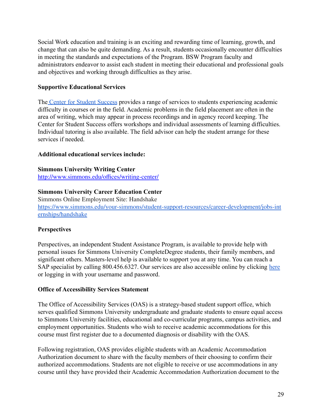Social Work education and training is an exciting and rewarding time of learning, growth, and change that can also be quite demanding. As a result, students occasionally encounter difficulties in meeting the standards and expectations of the Program. BSW Program faculty and administrators endeavor to assist each student in meeting their educational and professional goals and objectives and working through difficulties as they arise.

### <span id="page-28-0"></span>**Supportive Educational Services**

The [Center for Student Success](https://internal.simmons.edu/students/academics/student-success) provides a range of services to students experiencing academic difficulty in courses or in the field. Academic problems in the field placement are often in the area of writing, which may appear in process recordings and in agency record keeping. The Center for Student Success offers workshops and individual assessments of learning difficulties. Individual tutoring is also available. The field advisor can help the student arrange for these services if needed.

#### **Additional educational services include:**

<span id="page-28-1"></span>**Simmons University Writing Center**

<http://www.simmons.edu/offices/writing-center/>

# <span id="page-28-2"></span>**Simmons University Career Education Center**

 Simmons Online Employment Site: Handshake [https://www.simmons.edu/your-simmons/student-support-resources/career-development/jobs-int](https://www.simmons.edu/your-simmons/student-support-resources/career-development/jobs-internships/handshake) [ernships/handshake](https://www.simmons.edu/your-simmons/student-support-resources/career-development/jobs-internships/handshake)

# <span id="page-28-3"></span>**Perspectives**

Perspectives, an independent Student Assistance Program, is available to provide help with personal issues for Simmons University CompleteDegree students, their family members, and significant others. Masters-level help is available to support you at any time. You can reach a SAP specialist by calling 800.456.6327. Our services are also accessible online by clicking [here](https://features.perspectivesltd.com/l/completedegreesimmons) or logging in with your username and password.

#### <span id="page-28-4"></span>**Office of Accessibility Services Statement**

The Office of Accessibility Services (OAS) is a strategy-based student support office, which serves qualified Simmons University undergraduate and graduate students to ensure equal access to Simmons University facilities, educational and co-curricular programs, campus activities, and employment opportunities. Students who wish to receive academic accommodations for this course must first register due to a documented diagnosis or disability with the OAS.

Following registration, OAS provides eligible students with an Academic Accommodation Authorization document to share with the faculty members of their choosing to confirm their authorized accommodations. Students are not eligible to receive or use accommodations in any course until they have provided their Academic Accommodation Authorization document to the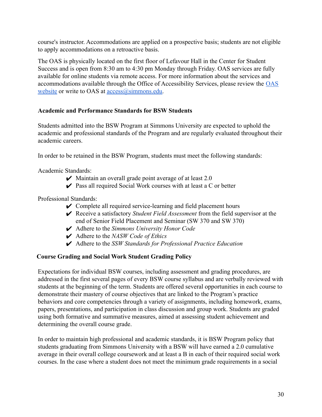course's instructor. Accommodations are applied on a prospective basis; students are not eligible to apply accommodations on a retroactive basis.

The OAS is physically located on the first floor of Lefavour Hall in the Center for Student Success and is open from 8:30 am to 4:30 pm Monday through Friday. OAS services are fully available for online students via remote access. For more information about the services and accommodations available through the Office of Accessibility Services, please review the [OAS](http://simmons.edu/access) [website](http://simmons.edu/access) or write to OAS at [access@simmons.edu.](mailto:access@simmons.edu)

# <span id="page-29-0"></span>**Academic and Performance Standards for BSW Students**

Students admitted into the BSW Program at Simmons University are expected to uphold the academic and professional standards of the Program and are regularly evaluated throughout their academic careers.

In order to be retained in the BSW Program, students must meet the following standards:

Academic Standards:

- $\blacktriangleright$  Maintain an overall grade point average of at least 2.0
- $\triangleright$  Pass all required Social Work courses with at least a C or better

Professional Standards:

- $\triangleright$  Complete all required service-learning and field placement hours
- ✔ Receive a satisfactory *Student Field Assessment* from the field supervisor at the end of Senior Field Placement and Seminar (SW 370 and SW 370)
- ✔ Adhere to the *Simmons University Honor Code*
- ✔ Adhere to the *NASW Code of Ethics*
- ✔ Adhere to the *SSW Standards for Professional Practice Education*

#### <span id="page-29-1"></span>**Course Grading and Social Work Student Grading Policy**

Expectations for individual BSW courses, including assessment and grading procedures, are addressed in the first several pages of every BSW course syllabus and are verbally reviewed with students at the beginning of the term. Students are offered several opportunities in each course to demonstrate their mastery of course objectives that are linked to the Program's practice behaviors and core competencies through a variety of assignments, including homework, exams, papers, presentations, and participation in class discussion and group work. Students are graded using both formative and summative measures, aimed at assessing student achievement and determining the overall course grade.

In order to maintain high professional and academic standards, it is BSW Program policy that students graduating from Simmons University with a BSW will have earned a 2.0 cumulative average in their overall college coursework and at least a B in each of their required social work courses. In the case where a student does not meet the minimum grade requirements in a social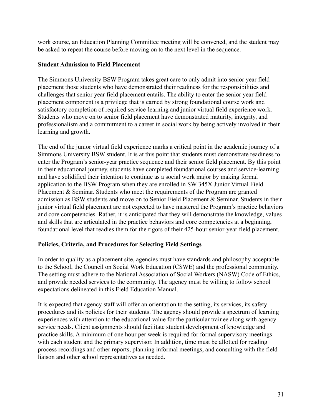work course, an Education Planning Committee meeting will be convened, and the student may be asked to repeat the course before moving on to the next level in the sequence.

#### <span id="page-30-0"></span>**Student Admission to Field Placement**

The Simmons University BSW Program takes great care to only admit into senior year field placement those students who have demonstrated their readiness for the responsibilities and challenges that senior year field placement entails. The ability to enter the senior year field placement component is a privilege that is earned by strong foundational course work and satisfactory completion of required service-learning and junior virtual field experience work. Students who move on to senior field placement have demonstrated maturity, integrity, and professionalism and a commitment to a career in social work by being actively involved in their learning and growth.

The end of the junior virtual field experience marks a critical point in the academic journey of a Simmons University BSW student. It is at this point that students must demonstrate readiness to enter the Program's senior-year practice sequence and their senior field placement. By this point in their educational journey, students have completed foundational courses and service-learning and have solidified their intention to continue as a social work major by making formal application to the BSW Program when they are enrolled in SW 345X Junior Virtual Field Placement & Seminar. Students who meet the requirements of the Program are granted admission as BSW students and move on to Senior Field Placement & Seminar. Students in their junior virtual field placement are not expected to have mastered the Program's practice behaviors and core competencies. Rather, it is anticipated that they will demonstrate the knowledge, values and skills that are articulated in the practice behaviors and core competencies at a beginning, foundational level that readies them for the rigors of their 425-hour senior-year field placement.

#### <span id="page-30-1"></span>**Policies, Criteria, and Procedures for Selecting Field Settings**

In order to qualify as a placement site, agencies must have standards and philosophy acceptable to the School, the Council on Social Work Education (CSWE) and the professional community. The setting must adhere to the National Association of Social Workers (NASW) Code of Ethics, and provide needed services to the community. The agency must be willing to follow school expectations delineated in this Field Education Manual.

It is expected that agency staff will offer an orientation to the setting, its services, its safety procedures and its policies for their students. The agency should provide a spectrum of learning experiences with attention to the educational value for the particular trainee along with agency service needs. Client assignments should facilitate student development of knowledge and practice skills. A minimum of one hour per week is required for formal supervisory meetings with each student and the primary supervisor. In addition, time must be allotted for reading process recordings and other reports, planning informal meetings, and consulting with the field liaison and other school representatives as needed.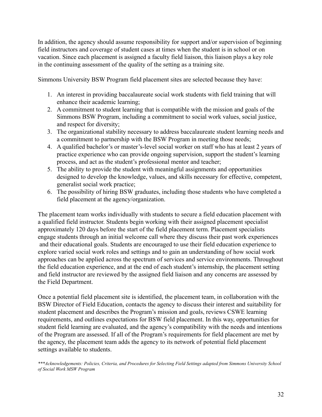In addition, the agency should assume responsibility for support and/or supervision of beginning field instructors and coverage of student cases at times when the student is in school or on vacation. Since each placement is assigned a faculty field liaison, this liaison plays a key role in the continuing assessment of the quality of the setting as a training site.

Simmons University BSW Program field placement sites are selected because they have:

- 1. An interest in providing baccalaureate social work students with field training that will enhance their academic learning;
- 2. A commitment to student learning that is compatible with the mission and goals of the Simmons BSW Program, including a commitment to social work values, social justice, and respect for diversity;
- 3. The organizational stability necessary to address baccalaureate student learning needs and a commitment to partnership with the BSW Program in meeting those needs;
- 4. A qualified bachelor's or master's-level social worker on staff who has at least 2 years of practice experience who can provide ongoing supervision, support the student's learning process, and act as the student's professional mentor and teacher;
- 5. The ability to provide the student with meaningful assignments and opportunities designed to develop the knowledge, values, and skills necessary for effective, competent, generalist social work practice;
- 6. The possibility of hiring BSW graduates, including those students who have completed a field placement at the agency/organization.

The placement team works individually with students to secure a field education placement with a qualified field instructor. Students begin working with their assigned placement specialist approximately 120 days before the start of the field placement term. Placement specialists engage students through an initial welcome call where they discuss their past work experiences and their educational goals. Students are encouraged to use their field education experience to explore varied social work roles and settings and to gain an understanding of how social work approaches can be applied across the spectrum of services and service environments. Throughout the field education experience, and at the end of each student's internship, the placement setting and field instructor are reviewed by the assigned field liaison and any concerns are assessed by the Field Department.

Once a potential field placement site is identified, the placement team, in collaboration with the BSW Director of Field Education, contacts the agency to discuss their interest and suitability for student placement and describes the Program's mission and goals, reviews CSWE learning requirements, and outlines expectations for BSW field placement. In this way, opportunities for student field learning are evaluated, and the agency's compatibility with the needs and intentions of the Program are assessed. If all of the Program's requirements for field placement are met by the agency, the placement team adds the agency to its network of potential field placement settings available to students.

*\*\*\*Acknowledgements: Policies, Criteria, and Procedures for Selecting Field Settings adapted from Simmons University School of Social Work MSW Program*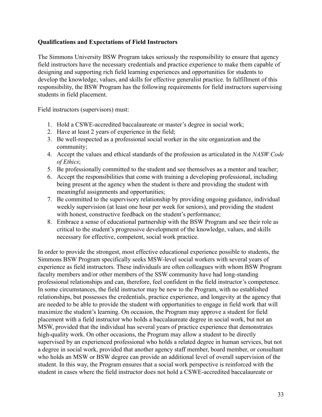# <span id="page-32-0"></span>**Qualifications and Expectations of Field Instructors**

The Simmons University BSW Program takes seriously the responsibility to ensure that agency field instructors have the necessary credentials and practice experience to make them capable of designing and supporting rich field learning experiences and opportunities for students to develop the knowledge, values, and skills for effective generalist practice. In fulfillment of this responsibility, the BSW Program has the following requirements for field instructors supervising students in field placement.

Field instructors (supervisors) must:

- 1. Hold a CSWE-accredited baccalaureate or master's degree in social work;
- 2. Have at least 2 years of experience in the field;
- 3. Be well-respected as a professional social worker in the site organization and the community;
- 4. Accept the values and ethical standards of the profession as articulated in the *NASW Code of Ethics*;
- 5. Be professionally committed to the student and see themselves as a mentor and teacher;
- 6. Accept the responsibilities that come with training a developing professional, including being present at the agency when the student is there and providing the student with meaningful assignments and opportunities;
- 7. Be committed to the supervisory relationship by providing ongoing guidance, individual weekly supervision (at least one hour per week for seniors), and providing the student with honest, constructive feedback on the student's performance;
- 8. Embrace a sense of educational partnership with the BSW Program and see their role as critical to the student's progressive development of the knowledge, values, and skills necessary for effective, competent, social work practice.

In order to provide the strongest, most effective educational experience possible to students, the Simmons BSW Program specifically seeks MSW-level social workers with several years of experience as field instructors. These individuals are often colleagues with whom BSW Program faculty members and/or other members of the SSW community have had long-standing professional relationships and can, therefore, feel confident in the field instructor's competence. In some circumstances, the field instructor may be new to the Program, with no established relationships, but possesses the credentials, practice experience, and longevity at the agency that are needed to be able to provide the student with opportunities to engage in field work that will maximize the student's learning. On occasion, the Program may approve a student for field placement with a field instructor who holds a baccalaureate degree in social work, but not an MSW, provided that the individual has several years of practice experience that demonstrates high-quality work. On other occasions, the Program may allow a student to be directly supervised by an experienced professional who holds a related degree in human services, but not a degree in social work, provided that another agency staff member, board member, or consultant who holds an MSW or BSW degree can provide an additional level of overall supervision of the student. In this way, the Program ensures that a social work perspective is reinforced with the student in cases where the field instructor does not hold a CSWE-accredited baccalaureate or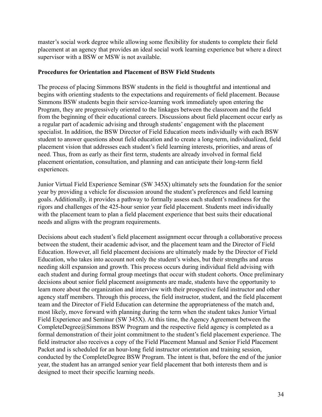master's social work degree while allowing some flexibility for students to complete their field placement at an agency that provides an ideal social work learning experience but where a direct supervisor with a BSW or MSW is not available.

#### <span id="page-33-0"></span>**Procedures for Orientation and Placement of BSW Field Students**

The process of placing Simmons BSW students in the field is thoughtful and intentional and begins with orienting students to the expectations and requirements of field placement. Because Simmons BSW students begin their service-learning work immediately upon entering the Program, they are progressively oriented to the linkages between the classroom and the field from the beginning of their educational careers. Discussions about field placement occur early as a regular part of academic advising and through students' engagement with the placement specialist. In addition, the BSW Director of Field Education meets individually with each BSW student to answer questions about field education and to create a long-term, individualized, field placement vision that addresses each student's field learning interests, priorities, and areas of need. Thus, from as early as their first term, students are already involved in formal field placement orientation, consultation, and planning and can anticipate their long-term field experiences.

Junior Virtual Field Experience Seminar (SW 345X) ultimately sets the foundation for the senior year by providing a vehicle for discussion around the student's preferences and field learning goals. Additionally, it provides a pathway to formally assess each student's readiness for the rigors and challenges of the 425-hour senior year field placement. Students meet individually with the placement team to plan a field placement experience that best suits their educational needs and aligns with the program requirements.

Decisions about each student's field placement assignment occur through a collaborative process between the student, their academic advisor, and the placement team and the Director of Field Education. However, all field placement decisions are ultimately made by the Director of Field Education, who takes into account not only the student's wishes, but their strengths and areas needing skill expansion and growth. This process occurs during individual field advising with each student and during formal group meetings that occur with student cohorts. Once preliminary decisions about senior field placement assignments are made, students have the opportunity to learn more about the organization and interview with their prospective field instructor and other agency staff members. Through this process, the field instructor, student, and the field placement team and the Director of Field Education can determine the appropriateness of the match and, most likely, move forward with planning during the term when the student takes Junior Virtual Field Experience and Seminar (SW 345X). At this time, the Agency Agreement between the CompleteDegree@Simmons BSW Program and the respective field agency is completed as a formal demonstration of their joint commitment to the student's field placement experience. The field instructor also receives a copy of the Field Placement Manual and Senior Field Placement Packet and is scheduled for an hour-long field instructor orientation and training session, conducted by the CompleteDegree BSW Program. The intent is that, before the end of the junior year, the student has an arranged senior year field placement that both interests them and is designed to meet their specific learning needs.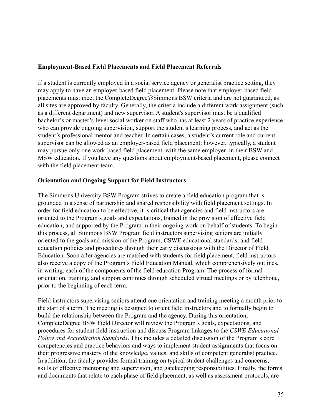#### <span id="page-34-0"></span>**Employment-Based Field Placements and Field Placement Referrals**

If a student is currently employed in a social service agency or generalist practice setting, they may apply to have an employer-based field placement. Please note that employer-based field placements must meet the CompleteDegree@Simmons BSW criteria and are not guaranteed, as all sites are approved by faculty. Generally, the criteria include a different work assignment (such as a different department) and new supervisor. A student's supervisor must be a qualified bachelor's or master's-level social worker on staff who has at least 2 years of practice experience who can provide ongoing supervision, support the student's learning process, and act as the student's professional mentor and teacher. In certain cases, a student's current role and current supervisor can be allowed as an employer-based field placement; however, typically, a student may pursue only one work-based field placement–with the same employer–in their BSW and MSW education. If you have any questions about employment-based placement, please connect with the field placement team.

#### <span id="page-34-1"></span>**Orientation and Ongoing Support for Field Instructors**

The Simmons University BSW Program strives to create a field education program that is grounded in a sense of partnership and shared responsibility with field placement settings. In order for field education to be effective, it is critical that agencies and field instructors are oriented to the Program's goals and expectations, trained in the provision of effective field education, and supported by the Program in their ongoing work on behalf of students. To begin this process, all Simmons BSW Program field instructors supervising seniors are initially oriented to the goals and mission of the Program, CSWE educational standards, and field education policies and procedures through their early discussions with the Director of Field Education. Soon after agencies are matched with students for field placement, field instructors also receive a copy of the Program's Field Education Manual, which comprehensively outlines, in writing, each of the components of the field education Program. The process of formal orientation, training, and support continues through scheduled virtual meetings or by telephone, prior to the beginning of each term.

Field instructors supervising seniors attend one orientation and training meeting a month prior to the start of a term. The meeting is designed to orient field instructors and to formally begin to build the relationship between the Program and the agency. During this orientation, CompleteDegree BSW Field Director will review the Program's goals, expectations, and procedures for student field instruction and discuss Program linkages to the *CSWE Educational Policy and Accreditation Standards*. This includes a detailed discussion of the Program's core competencies and practice behaviors and ways to implement student assignments that focus on their progressive mastery of the knowledge, values, and skills of competent generalist practice. In addition, the faculty provides formal training on typical student challenges and concerns, skills of effective mentoring and supervision, and gatekeeping responsibilities. Finally, the forms and documents that relate to each phase of field placement, as well as assessment protocols, are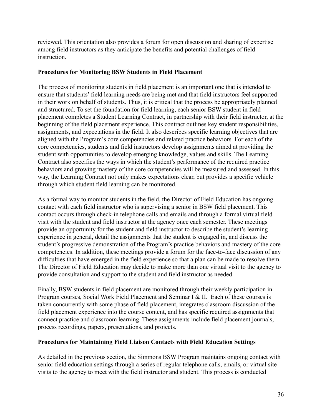reviewed. This orientation also provides a forum for open discussion and sharing of expertise among field instructors as they anticipate the benefits and potential challenges of field instruction.

### <span id="page-35-0"></span>**Procedures for Monitoring BSW Students in Field Placement**

The process of monitoring students in field placement is an important one that is intended to ensure that students' field learning needs are being met and that field instructors feel supported in their work on behalf of students. Thus, it is critical that the process be appropriately planned and structured. To set the foundation for field learning, each senior BSW student in field placement completes a Student Learning Contract, in partnership with their field instructor, at the beginning of the field placement experience. This contract outlines key student responsibilities, assignments, and expectations in the field. It also describes specific learning objectives that are aligned with the Program's core competencies and related practice behaviors. For each of the core competencies, students and field instructors develop assignments aimed at providing the student with opportunities to develop emerging knowledge, values and skills. The Learning Contract also specifies the ways in which the student's performance of the required practice behaviors and growing mastery of the core competencies will be measured and assessed. In this way, the Learning Contract not only makes expectations clear, but provides a specific vehicle through which student field learning can be monitored.

As a formal way to monitor students in the field, the Director of Field Education has ongoing contact with each field instructor who is supervising a senior in BSW field placement. This contact occurs through check-in telephone calls and emails and through a formal virtual field visit with the student and field instructor at the agency once each semester. These meetings provide an opportunity for the student and field instructor to describe the student's learning experience in general, detail the assignments that the student is engaged in, and discuss the student's progressive demonstration of the Program's practice behaviors and mastery of the core competencies. In addition, these meetings provide a forum for the face-to-face discussion of any difficulties that have emerged in the field experience so that a plan can be made to resolve them. The Director of Field Education may decide to make more than one virtual visit to the agency to provide consultation and support to the student and field instructor as needed.

Finally, BSW students in field placement are monitored through their weekly participation in Program courses, Social Work Field Placement and Seminar I & II. Each of these courses is taken concurrently with some phase of field placement, integrates classroom discussion of the field placement experience into the course content, and has specific required assignments that connect practice and classroom learning. These assignments include field placement journals, process recordings, papers, presentations, and projects.

#### <span id="page-35-1"></span>**Procedures for Maintaining Field Liaison Contacts with Field Education Settings**

As detailed in the previous section, the Simmons BSW Program maintains ongoing contact with senior field education settings through a series of regular telephone calls, emails, or virtual site visits to the agency to meet with the field instructor and student. This process is conducted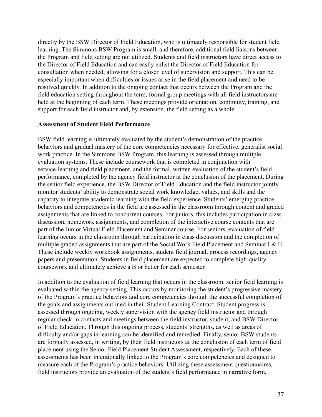directly by the BSW Director of Field Education, who is ultimately responsible for student field learning. The Simmons BSW Program is small, and therefore, additional field liaisons between the Program and field setting are not utilized. Students and field instructors have direct access to the Director of Field Education and can easily enlist the Director of Field Education for consultation when needed, allowing for a closer level of supervision and support. This can be especially important when difficulties or issues arise in the field placement and need to be resolved quickly. In addition to the ongoing contact that occurs between the Program and the field education setting throughout the term, formal group meetings with all field instructors are held at the beginning of each term. These meetings provide orientation, continuity, training, and support for each field instructor and, by extension, the field setting as a whole.

#### <span id="page-36-0"></span>**Assessment of Student Field Performance**

BSW field learning is ultimately evaluated by the student's demonstration of the practice behaviors and gradual mastery of the core competencies necessary for effective, generalist social work practice. In the Simmons BSW Program, this learning is assessed through multiple evaluation systems. These include coursework that is completed in conjunction with service-learning and field placement, and the formal, written evaluation of the student's field performance, completed by the agency field instructor at the conclusion of the placement. During the senior field experience, the BSW Director of Field Education and the field instructor jointly monitor students' ability to demonstrate social work knowledge, values, and skills and the capacity to integrate academic learning with the field experience. Students' emerging practice behaviors and competencies in the field are assessed in the classroom through content and graded assignments that are linked to concurrent courses. For juniors, this includes participation in class discussion, homework assignments, and completion of the interactive course contents that are part of the Junior Virtual Field Placement and Seminar course. For seniors, evaluation of field learning occurs in the classroom through participation in class discussion and the completion of multiple graded assignments that are part of the Social Work Field Placement and Seminar I & II. These include weekly workbook assignments, student field journal, process recordings, agency papers and presentation. Students in field placement are expected to complete high-quality coursework and ultimately achieve a B or better for each semester.

In addition to the evaluation of field learning that occurs in the classroom, senior field learning is evaluated within the agency setting. This occurs by monitoring the student's progressive mastery of the Program's practice behaviors and core competencies through the successful completion of the goals and assignments outlined in their Student Learning Contract. Student progress is assessed through ongoing, weekly supervision with the agency field instructor and through regular check-in contacts and meetings between the field instructor, student, and BSW Director of Field Education. Through this ongoing process, students' strengths, as well as areas of difficulty and/or gaps in learning can be identified and remedied. Finally, senior BSW students are formally assessed, in writing, by their field instructors at the conclusion of each term of field placement using the Senior Field Placement Student Assessment, respectively. Each of these assessments has been intentionally linked to the Program's core competencies and designed to measure each of the Program's practice behaviors. Utilizing these assessment questionnaires, field instructors provide an evaluation of the student's field performance in narrative form,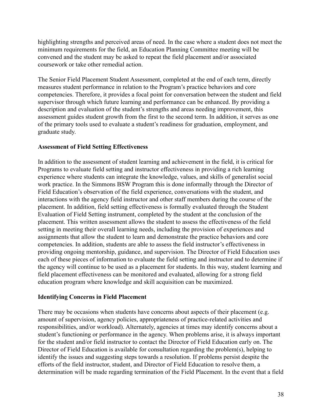highlighting strengths and perceived areas of need. In the case where a student does not meet the minimum requirements for the field, an Education Planning Committee meeting will be convened and the student may be asked to repeat the field placement and/or associated coursework or take other remedial action.

The Senior Field Placement Student Assessment, completed at the end of each term, directly measures student performance in relation to the Program's practice behaviors and core competencies. Therefore, it provides a focal point for conversation between the student and field supervisor through which future learning and performance can be enhanced. By providing a description and evaluation of the student's strengths and areas needing improvement, this assessment guides student growth from the first to the second term. In addition, it serves as one of the primary tools used to evaluate a student's readiness for graduation, employment, and graduate study.

#### <span id="page-37-0"></span>**Assessment of Field Setting Effectiveness**

In addition to the assessment of student learning and achievement in the field, it is critical for Programs to evaluate field setting and instructor effectiveness in providing a rich learning experience where students can integrate the knowledge, values, and skills of generalist social work practice. In the Simmons BSW Program this is done informally through the Director of Field Education's observation of the field experience, conversations with the student, and interactions with the agency field instructor and other staff members during the course of the placement. In addition, field setting effectiveness is formally evaluated through the Student Evaluation of Field Setting instrument, completed by the student at the conclusion of the placement. This written assessment allows the student to assess the effectiveness of the field setting in meeting their overall learning needs, including the provision of experiences and assignments that allow the student to learn and demonstrate the practice behaviors and core competencies. In addition, students are able to assess the field instructor's effectiveness in providing ongoing mentorship, guidance, and supervision. The Director of Field Education uses each of these pieces of information to evaluate the field setting and instructor and to determine if the agency will continue to be used as a placement for students. In this way, student learning and field placement effectiveness can be monitored and evaluated, allowing for a strong field education program where knowledge and skill acquisition can be maximized.

#### <span id="page-37-1"></span>**Identifying Concerns in Field Placement**

There may be occasions when students have concerns about aspects of their placement (e.g. amount of supervision, agency policies, appropriateness of practice-related activities and responsibilities, and/or workload). Alternately, agencies at times may identify concerns about a student's functioning or performance in the agency. When problems arise, it is always important for the student and/or field instructor to contact the Director of Field Education early on. The Director of Field Education is available for consultation regarding the problem(s), helping to identify the issues and suggesting steps towards a resolution. If problems persist despite the efforts of the field instructor, student, and Director of Field Education to resolve them, a determination will be made regarding termination of the Field Placement. In the event that a field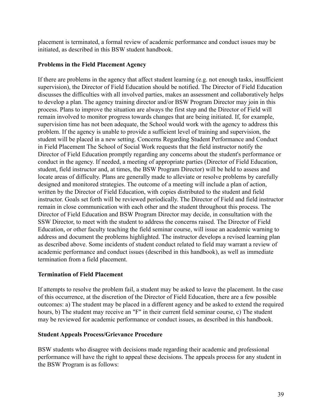placement is terminated, a formal review of academic performance and conduct issues may be initiated, as described in this BSW student handbook.

#### <span id="page-38-0"></span>**Problems in the Field Placement Agency**

If there are problems in the agency that affect student learning (e.g. not enough tasks, insufficient supervision), the Director of Field Education should be notified. The Director of Field Education discusses the difficulties with all involved parties, makes an assessment and collaboratively helps to develop a plan. The agency training director and/or BSW Program Director may join in this process. Plans to improve the situation are always the first step and the Director of Field will remain involved to monitor progress towards changes that are being initiated. If, for example, supervision time has not been adequate, the School would work with the agency to address this problem. If the agency is unable to provide a sufficient level of training and supervision, the student will be placed in a new setting. Concerns Regarding Student Performance and Conduct in Field Placement The School of Social Work requests that the field instructor notify the Director of Field Education promptly regarding any concerns about the student's performance or conduct in the agency. If needed, a meeting of appropriate parties (Director of Field Education, student, field instructor and, at times, the BSW Program Director) will be held to assess and locate areas of difficulty. Plans are generally made to alleviate or resolve problems by carefully designed and monitored strategies. The outcome of a meeting will include a plan of action, written by the Director of Field Education, with copies distributed to the student and field instructor. Goals set forth will be reviewed periodically. The Director of Field and field instructor remain in close communication with each other and the student throughout this process. The Director of Field Education and BSW Program Director may decide, in consultation with the SSW Director, to meet with the student to address the concerns raised. The Director of Field Education, or other faculty teaching the field seminar course, will issue an academic warning to address and document the problems highlighted. The instructor develops a revised learning plan as described above. Some incidents of student conduct related to field may warrant a review of academic performance and conduct issues (described in this handbook), as well as immediate termination from a field placement.

#### <span id="page-38-1"></span>**Termination of Field Placement**

If attempts to resolve the problem fail, a student may be asked to leave the placement. In the case of this occurrence, at the discretion of the Director of Field Education, there are a few possible outcomes: a) The student may be placed in a different agency and be asked to extend the required hours, b) The student may receive an "F" in their current field seminar course, c) The student may be reviewed for academic performance or conduct issues, as described in this handbook.

#### **Student Appeals Process/Grievance Procedure**

BSW students who disagree with decisions made regarding their academic and professional performance will have the right to appeal these decisions. The appeals process for any student in the BSW Program is as follows: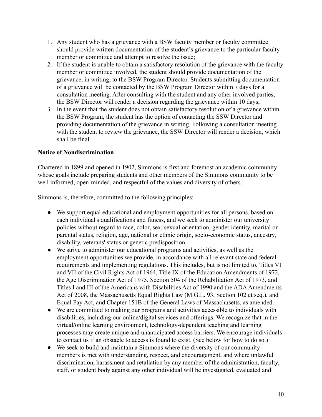- 1. Any student who has a grievance with a BSW faculty member or faculty committee should provide written documentation of the student's grievance to the particular faculty member or committee and attempt to resolve the issue;
- 2. If the student is unable to obtain a satisfactory resolution of the grievance with the faculty member or committee involved, the student should provide documentation of the grievance, in writing, to the BSW Program Director. Students submitting documentation of a grievance will be contacted by the BSW Program Director within 7 days for a consultation meeting. After consulting with the student and any other involved parties, the BSW Director will render a decision regarding the grievance within 10 days;
- 3. In the event that the student does not obtain satisfactory resolution of a grievance within the BSW Program, the student has the option of contacting the SSW Director and providing documentation of the grievance in writing. Following a consultation meeting with the student to review the grievance, the SSW Director will render a decision, which shall be final.

# <span id="page-39-0"></span>**Notice of Nondiscrimination**

Chartered in 1899 and opened in 1902, Simmons is first and foremost an academic community whose goals include preparing students and other members of the Simmons community to be well informed, open-minded, and respectful of the values and diversity of others.

Simmons is, therefore, committed to the following principles:

- We support equal educational and employment opportunities for all persons, based on each individual's qualifications and fitness, and we seek to administer our university policies without regard to race, color, sex, sexual orientation, gender identity, marital or parental status, religion, age, national or ethnic origin, socio-economic status, ancestry, disability, veterans' status or genetic predisposition.
- We strive to administer our educational programs and activities, as well as the employment opportunities we provide, in accordance with all relevant state and federal requirements and implementing regulations. This includes, but is not limited to, Titles VI and VII of the Civil Rights Act of 1964, Title IX of the Education Amendments of 1972, the Age Discrimination Act of 1975, Section 504 of the Rehabilitation Act of 1973, and Titles I and III of the Americans with Disabilities Act of 1990 and the ADA Amendments Act of 2008, the Massachusetts Equal Rights Law (M.G.L. 93, Section 102 et seq.), and Equal Pay Act, and Chapter 151B of the General Laws of Massachusetts, as amended.
- We are committed to making our programs and activities accessible to individuals with disabilities, including our online/digital services and offerings. We recognize that in the virtual/online learning environment, technology-dependent teaching and learning processes may create unique and unanticipated access barriers. We encourage individuals to contact us if an obstacle to access is found to exist. (See below for how to do so.)
- We seek to build and maintain a Simmons where the diversity of our community members is met with understanding, respect, and encouragement, and where unlawful discrimination, harassment and retaliation by any member of the administration, faculty, staff, or student body against any other individual will be investigated, evaluated and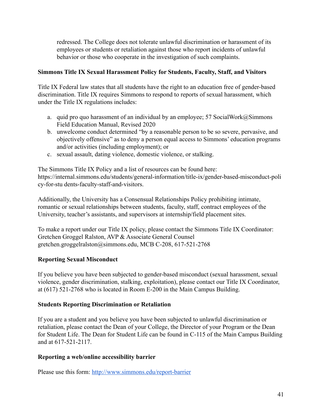redressed. The College does not tolerate unlawful discrimination or harassment of its employees or students or retaliation against those who report incidents of unlawful behavior or those who cooperate in the investigation of such complaints.

# <span id="page-40-0"></span>**Simmons Title IX Sexual Harassment Policy for Students, Faculty, Staff, and Visitors**

Title IX Federal law states that all students have the right to an education free of gender-based discrimination. Title IX requires Simmons to respond to reports of sexual harassment, which under the Title IX regulations includes:

- a. quid pro quo harassment of an individual by an employee; 57 SocialWork@Simmons Field Education Manual, Revised 2020
- b. unwelcome conduct determined "by a reasonable person to be so severe, pervasive, and objectively offensive" as to deny a person equal access to Simmons' education programs and/or activities (including employment); or
- c. sexual assault, dating violence, domestic violence, or stalking.

The Simmons Title IX Policy and a list of resources can be found here: <https://internal.simmons.edu/students/general-information/title-ix/gender-based-misconduct-poli> cy-for-stu dents-faculty-staff-and-visitors.

Additionally, the University has a Consensual Relationships Policy prohibiting intimate, romantic or sexual relationships between students, faculty, staff, contract employees of the University, teacher's assistants, and supervisors at internship/field placement sites.

To make a report under our Title IX policy, please contact the Simmons Title IX Coordinator: Gretchen Groggel Ralston, AVP & Associate General Counsel [gretchen.groggelralston@simmons.edu](mailto:gretchen.groggelralston@simmons.edu), MCB C-208, 617-521-2768

# <span id="page-40-1"></span>**Reporting Sexual Misconduct**

If you believe you have been subjected to gender-based misconduct (sexual harassment, sexual violence, gender discrimination, stalking, exploitation), please contact our Title IX Coordinator, at (617) 521-2768 who is located in Room E-200 in the Main Campus Building.

#### <span id="page-40-2"></span>**Students Reporting Discrimination or Retaliation**

If you are a student and you believe you have been subjected to unlawful discrimination or retaliation, please contact the Dean of your College, the Director of your Program or the Dean for Student Life. The Dean for Student Life can be found in C-115 of the Main Campus Building and at 617-521-2117.

#### <span id="page-40-3"></span>**Reporting a web/online accessibility barrier**

Please use this form: <http://www.simmons.edu/report-barrier>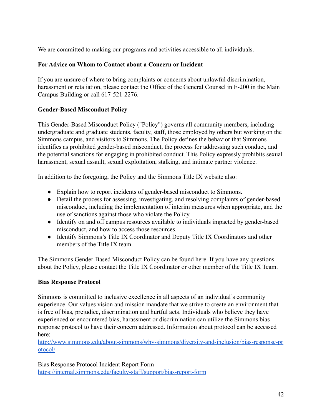We are committed to making our programs and activities accessible to all individuals.

# <span id="page-41-0"></span>**For Advice on Whom to Contact about a Concern or Incident**

If you are unsure of where to bring complaints or concerns about unlawful discrimination, harassment or retaliation, please contact the Office of the General Counsel in E-200 in the Main Campus Building or call 617-521-2276.

# <span id="page-41-1"></span>**Gender-Based Misconduct Policy**

This Gender-Based Misconduct Policy ("Policy") governs all community members, including undergraduate and graduate students, faculty, staff, those employed by others but working on the Simmons campus, and visitors to Simmons. The Policy defines the behavior that Simmons identifies as prohibited gender-based misconduct, the process for addressing such conduct, and the potential sanctions for engaging in prohibited conduct. This Policy expressly prohibits sexual harassment, sexual assault, sexual exploitation, stalking, and intimate partner violence.

In addition to the foregoing, the Policy and the Simmons Title IX website also:

- Explain how to report incidents of gender-based misconduct to Simmons.
- Detail the process for assessing, investigating, and resolving complaints of gender-based misconduct, including the implementation of interim measures when appropriate, and the use of sanctions against those who violate the Policy.
- Identify on and off campus resources available to individuals impacted by gender-based misconduct, and how to access those resources.
- Identify Simmons's Title IX Coordinator and Deputy Title IX Coordinators and other members of the Title IX team.

The Simmons Gender-Based Misconduct Policy can be found here. If you have any questions about the Policy, please contact the Title IX Coordinator or other member of the Title IX Team.

#### <span id="page-41-2"></span>**Bias Response Protocol**

Simmons is committed to inclusive excellence in all aspects of an individual's community experience. Our values vision and mission mandate that we strive to create an environment that is free of bias, prejudice, discrimination and hurtful acts. Individuals who believe they have experienced or encountered bias, harassment or discrimination can utilize the Simmons bias response protocol to have their concern addressed. Information about protocol can be accessed here:

[http://www.simmons.edu/about-simmons/why-simmons/diversity-and-inclusion/bias-response-pr](http://www.simmons.edu/about-simmons/why-simmons/diversity-and-inclusion/bias-response-protocol/) [otocol/](http://www.simmons.edu/about-simmons/why-simmons/diversity-and-inclusion/bias-response-protocol/)

Bias Response Protocol Incident Report Form <https://internal.simmons.edu/faculty-staff/support/bias-report-form>